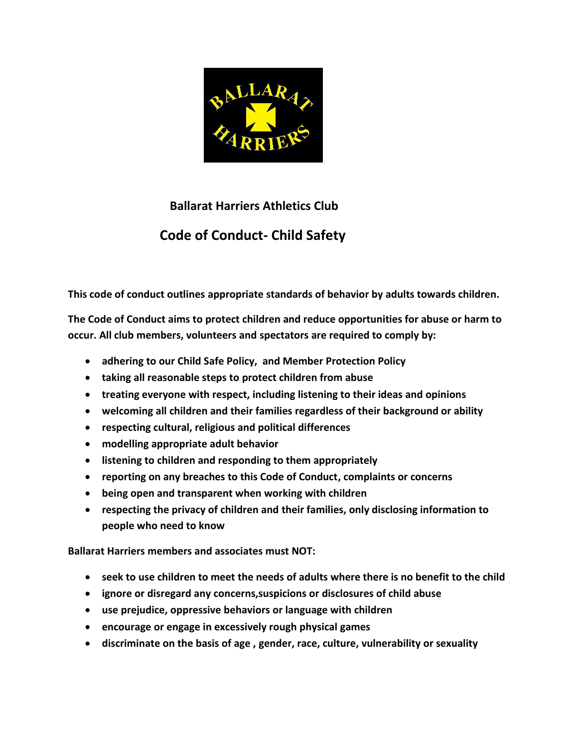

## **Ballarat Harriers Athletics Club Code of Conduct- Child Safety**

**This code of conduct outlines appropriate standards of behavior by adults towards children.**

**The Code of Conduct aims to protect children and reduce opportunities for abuse or harm to occur. All club members, volunteers and spectators are required to comply by:**

- **adhering to our Child Safe Policy, and Member Protection Policy**
- **taking all reasonable steps to protect children from abuse**
- **treating everyone with respect, including listening to their ideas and opinions**
- **welcoming all children and their families regardless of their background or ability**
- **respecting cultural, religious and political differences**
- **modelling appropriate adult behavior**
- **listening to children and responding to them appropriately**
- **reporting on any breaches to this Code of Conduct, complaints or concerns**
- **being open and transparent when working with children**
- **respecting the privacy of children and their families, only disclosing information to people who need to know**

**Ballarat Harriers members and associates must NOT:**

- **seek to use children to meet the needs of adults where there is no benefit to the child**
- **ignore or disregard any concerns,suspicions or disclosures of child abuse**
- **use prejudice, oppressive behaviors or language with children**
- **encourage or engage in excessively rough physical games**
- **discriminate on the basis of age , gender, race, culture, vulnerability or sexuality**